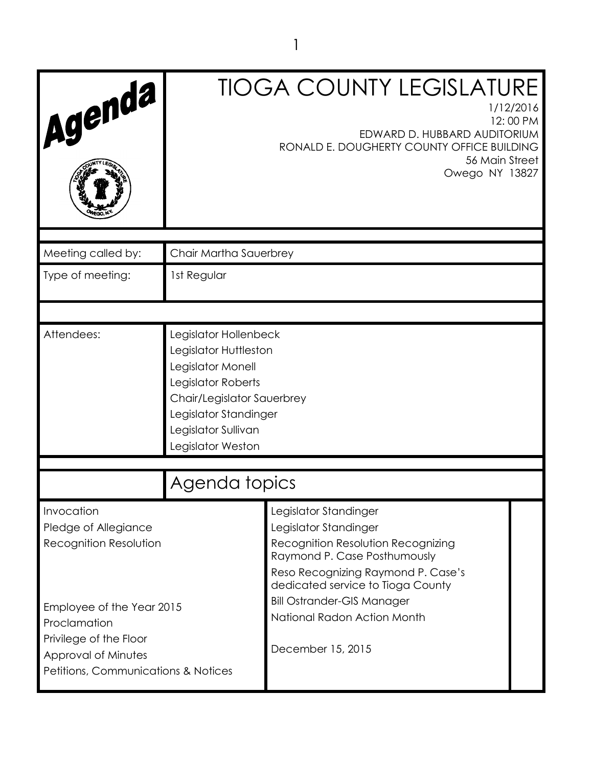| Agenda                                                                                                                                       | <b>TIOGA COUNTY LEGISLATURE</b><br>1/12/2016<br>12:00 PM<br>EDWARD D. HUBBARD AUDITORIUM<br>RONALD E. DOUGHERTY COUNTY OFFICE BUILDING<br>56 Main Street<br>Owego NY 13827                   |                                                                                                                                                                                                 |  |  |  |  |
|----------------------------------------------------------------------------------------------------------------------------------------------|----------------------------------------------------------------------------------------------------------------------------------------------------------------------------------------------|-------------------------------------------------------------------------------------------------------------------------------------------------------------------------------------------------|--|--|--|--|
| Meeting called by:                                                                                                                           | Chair Martha Sauerbrey                                                                                                                                                                       |                                                                                                                                                                                                 |  |  |  |  |
| Type of meeting:                                                                                                                             | 1st Regular                                                                                                                                                                                  |                                                                                                                                                                                                 |  |  |  |  |
|                                                                                                                                              |                                                                                                                                                                                              |                                                                                                                                                                                                 |  |  |  |  |
| Attendees:                                                                                                                                   | Legislator Hollenbeck<br>Legislator Huttleston<br>Legislator Monell<br>Legislator Roberts<br>Chair/Legislator Sauerbrey<br>Legislator Standinger<br>Legislator Sullivan<br>Legislator Weston |                                                                                                                                                                                                 |  |  |  |  |
|                                                                                                                                              | Agenda topics                                                                                                                                                                                |                                                                                                                                                                                                 |  |  |  |  |
| Invocation<br>Pledge of Allegiance<br>Recognition Resolution                                                                                 |                                                                                                                                                                                              | Legislator Standinger<br>Legislator Standinger<br>Recognition Resolution Recognizing<br>Raymond P. Case Posthumously<br>Reso Recognizing Raymond P. Case's<br>dedicated service to Tioga County |  |  |  |  |
| Employee of the Year 2015<br>Proclamation<br>Privilege of the Floor<br>Approval of Minutes<br><b>Petitions, Communications &amp; Notices</b> |                                                                                                                                                                                              | <b>Bill Ostrander-GIS Manager</b><br>National Radon Action Month<br>December 15, 2015                                                                                                           |  |  |  |  |

1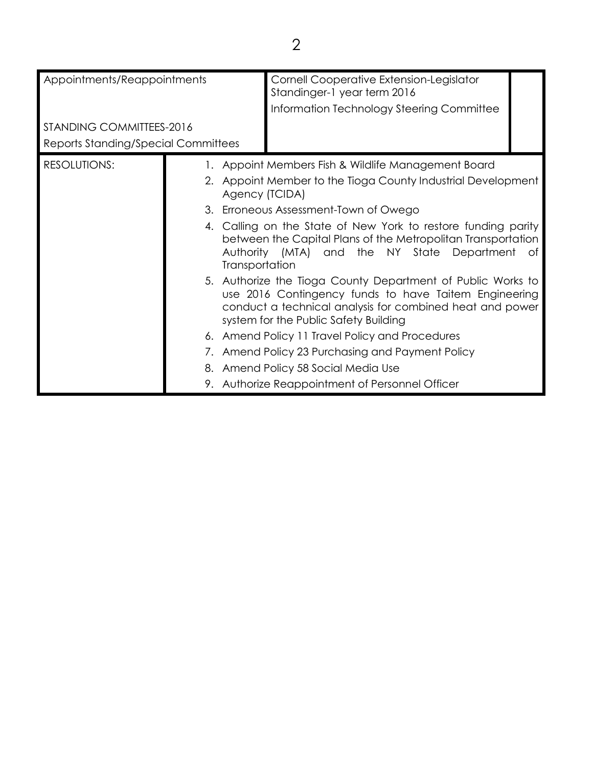| Appointments/Reappointments                                     |  |                | Cornell Cooperative Extension-Legislator<br>Standinger-1 year term 2016<br>Information Technology Steering Committee                                                                                                      |    |  |
|-----------------------------------------------------------------|--|----------------|---------------------------------------------------------------------------------------------------------------------------------------------------------------------------------------------------------------------------|----|--|
| STANDING COMMITTEES-2016<br>Reports Standing/Special Committees |  |                |                                                                                                                                                                                                                           |    |  |
| <b>RESOLUTIONS:</b>                                             |  | Agency (TCIDA) | 1. Appoint Members Fish & Wildlife Management Board<br>2. Appoint Member to the Tioga County Industrial Development<br>3. Erroneous Assessment-Town of Owego                                                              |    |  |
|                                                                 |  | Transportation | 4. Calling on the State of New York to restore funding parity<br>between the Capital Plans of the Metropolitan Transportation<br>Authority (MTA) and the NY State Department                                              | ot |  |
|                                                                 |  |                | 5. Authorize the Tioga County Department of Public Works to<br>use 2016 Contingency funds to have Taitem Engineering<br>conduct a technical analysis for combined heat and power<br>system for the Public Safety Building |    |  |
|                                                                 |  |                | 6. Amend Policy 11 Travel Policy and Procedures                                                                                                                                                                           |    |  |
|                                                                 |  |                | 7. Amend Policy 23 Purchasing and Payment Policy                                                                                                                                                                          |    |  |
|                                                                 |  |                | 8. Amend Policy 58 Social Media Use                                                                                                                                                                                       |    |  |
|                                                                 |  |                | 9. Authorize Reappointment of Personnel Officer                                                                                                                                                                           |    |  |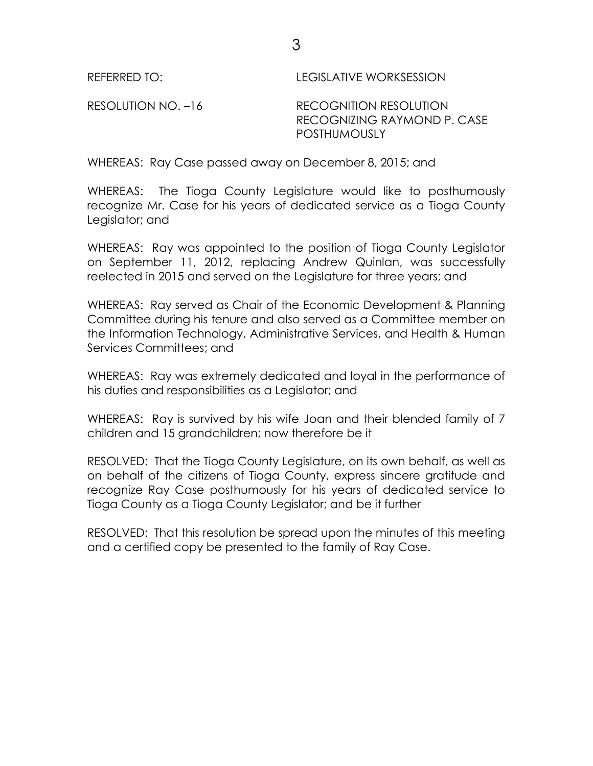REFERRED TO: LEGISLATIVE WORKSESSION

RESOLUTION NO. -16 RECOGNITION RESOLUTION RECOGNIZING RAYMOND P. CASE **POSTHUMOUSLY** 

WHEREAS: Ray Case passed away on December 8, 2015; and

WHEREAS: The Tioga County Legislature would like to posthumously recognize Mr. Case for his years of dedicated service as a Tioga County Legislator; and

WHEREAS: Ray was appointed to the position of Tioga County Legislator on September 11, 2012, replacing Andrew Quinlan, was successfully reelected in 2015 and served on the Legislature for three years; and

WHEREAS: Ray served as Chair of the Economic Development & Planning Committee during his tenure and also served as a Committee member on the Information Technology, Administrative Services, and Health & Human Services Committees; and

WHEREAS: Ray was extremely dedicated and loyal in the performance of his duties and responsibilities as a Legislator; and

WHEREAS: Ray is survived by his wife Joan and their blended family of 7 children and 15 grandchildren; now therefore be it

RESOLVED: That the Tioga County Legislature, on its own behalf, as well as on behalf of the citizens of Tioga County, express sincere gratitude and recognize Ray Case posthumously for his years of dedicated service to Tioga County as a Tioga County Legislator; and be it further

RESOLVED: That this resolution be spread upon the minutes of this meeting and a certified copy be presented to the family of Ray Case.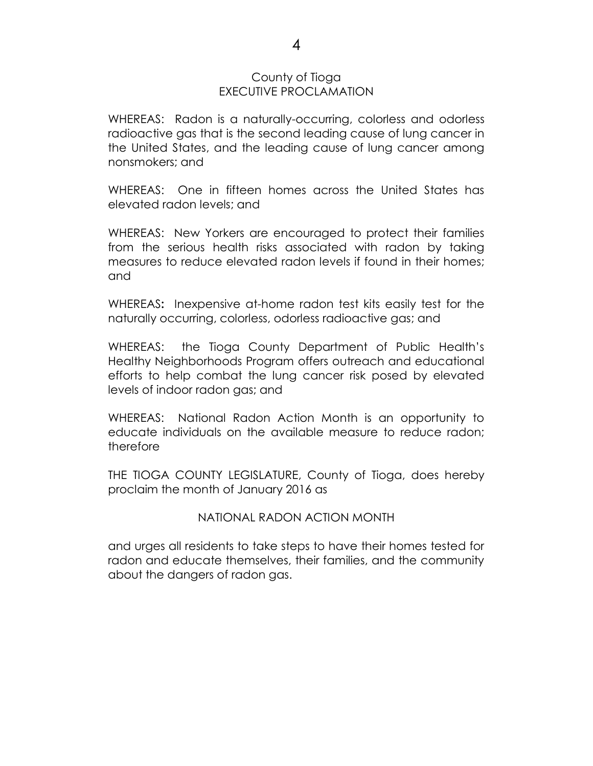#### County of Tioga EXECUTIVE PROCLAMATION

WHEREAS: Radon is a naturally-occurring, colorless and odorless radioactive gas that is the second leading cause of lung cancer in the United States, and the leading cause of lung cancer among nonsmokers; and

WHEREAS: One in fifteen homes across the United States has elevated radon levels; and

WHEREAS: New Yorkers are encouraged to protect their families from the serious health risks associated with radon by taking measures to reduce elevated radon levels if found in their homes; and

WHEREAS**:** Inexpensive at-home radon test kits easily test for the naturally occurring, colorless, odorless radioactive gas; and

WHEREAS: the Tioga County Department of Public Health's Healthy Neighborhoods Program offers outreach and educational efforts to help combat the lung cancer risk posed by elevated levels of indoor radon gas; and

WHEREAS: National Radon Action Month is an opportunity to educate individuals on the available measure to reduce radon; therefore

THE TIOGA COUNTY LEGISLATURE, County of Tioga, does hereby proclaim the month of January 2016 as

#### NATIONAL RADON ACTION MONTH

and urges all residents to take steps to have their homes tested for radon and educate themselves, their families, and the community about the dangers of radon gas.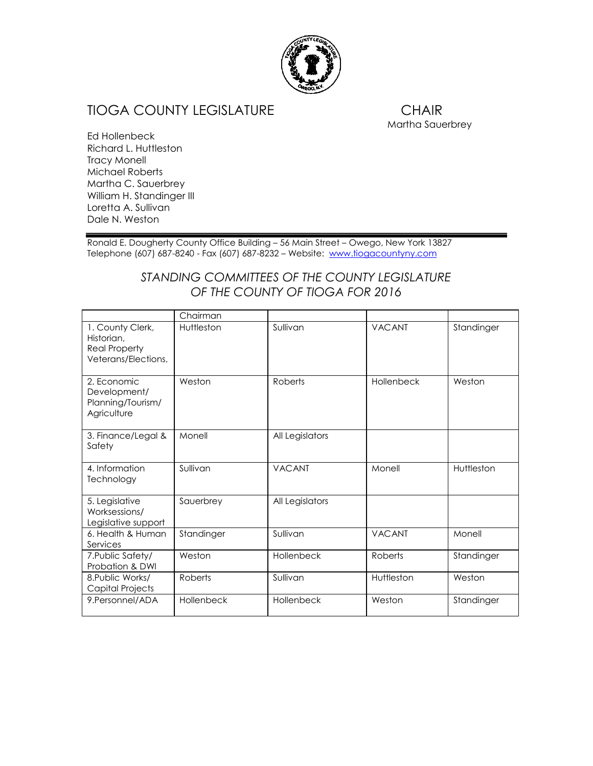

## TIOGA COUNTY LEGISLATURE **CHAIR**

Martha Sauerbrey

Ed Hollenbeck Richard L. Huttleston Tracy Monell Michael Roberts Martha C. Sauerbrey William H. Standinger III Loretta A. Sullivan Dale N. Weston

Ronald E. Dougherty County Office Building – 56 Main Street – Owego, New York 13827 Telephone (607) 687-8240 - Fax (607) 687-8232 – Website: [www.tiogacountyny.com](http://www.tiogacountyny.com/)

### *STANDING COMMITTEES OF THE COUNTY LEGISLATURE OF THE COUNTY OF TIOGA FOR 2016*

|                                                                               | Chairman   |                 |               |            |
|-------------------------------------------------------------------------------|------------|-----------------|---------------|------------|
| 1. County Clerk,<br>Historian,<br><b>Real Property</b><br>Veterans/Elections, | Huttleston | Sullivan        | <b>VACANT</b> | Standinger |
| 2. Economic<br>Development/<br>Planning/Tourism/<br>Agriculture               | Weston     | Roberts         | Hollenbeck    | Weston     |
| 3. Finance/Legal &<br>Safety                                                  | Monell     | All Legislators |               |            |
| 4. Information<br>Technology                                                  | Sullivan   | <b>VACANT</b>   | Monell        | Huttleston |
| 5. Legislative<br>Worksessions/<br>Legislative support                        | Sauerbrey  | All Legislators |               |            |
| 6. Health & Human<br>Services                                                 | Standinger | Sullivan        | <b>VACANT</b> | Monell     |
| 7. Public Safety/<br>Probation & DWI                                          | Weston     | Hollenbeck      | Roberts       | Standinger |
| 8. Public Works/<br>Capital Projects                                          | Roberts    | Sullivan        | Huttleston    | Weston     |
| 9. Personnel/ADA                                                              | Hollenbeck | Hollenbeck      | Weston        | Standinger |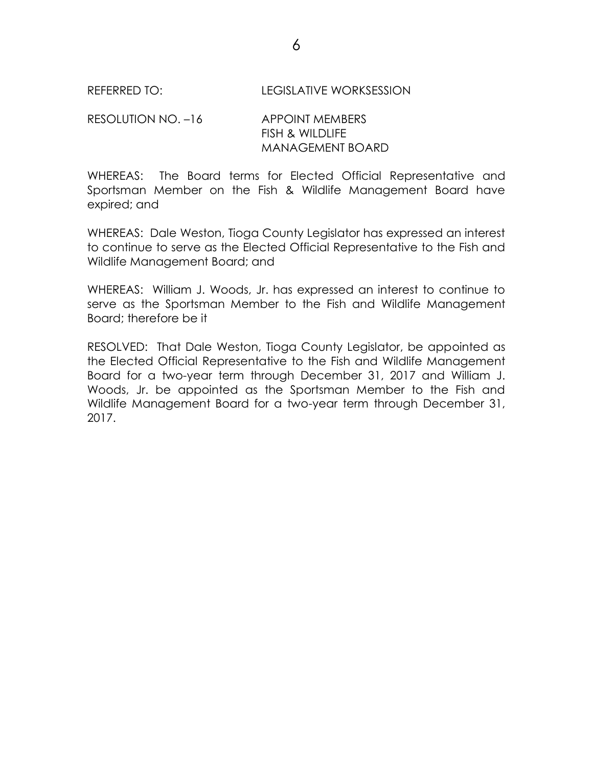RESOLUTION NO. –16 APPOINT MEMBERS FISH & WILDLIFE MANAGEMENT BOARD

WHEREAS: The Board terms for Elected Official Representative and Sportsman Member on the Fish & Wildlife Management Board have expired; and

WHEREAS: Dale Weston, Tioga County Legislator has expressed an interest to continue to serve as the Elected Official Representative to the Fish and Wildlife Management Board; and

WHEREAS: William J. Woods, Jr. has expressed an interest to continue to serve as the Sportsman Member to the Fish and Wildlife Management Board; therefore be it

RESOLVED: That Dale Weston, Tioga County Legislator, be appointed as the Elected Official Representative to the Fish and Wildlife Management Board for a two-year term through December 31, 2017 and William J. Woods, Jr. be appointed as the Sportsman Member to the Fish and Wildlife Management Board for a two-year term through December 31, 2017.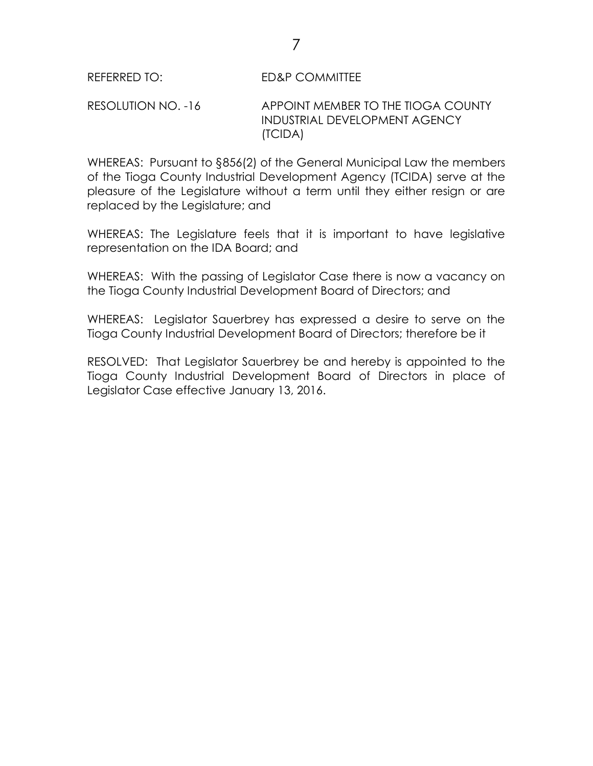RESOLUTION NO. -16 APPOINT MEMBER TO THE TIOGA COUNTY INDUSTRIAL DEVELOPMENT AGENCY (TCIDA)

WHEREAS: Pursuant to §856(2) of the General Municipal Law the members of the Tioga County Industrial Development Agency (TCIDA) serve at the pleasure of the Legislature without a term until they either resign or are replaced by the Legislature; and

WHEREAS: The Legislature feels that it is important to have legislative representation on the IDA Board; and

WHEREAS: With the passing of Legislator Case there is now a vacancy on the Tioga County Industrial Development Board of Directors; and

WHEREAS: Legislator Sauerbrey has expressed a desire to serve on the Tioga County Industrial Development Board of Directors; therefore be it

RESOLVED: That Legislator Sauerbrey be and hereby is appointed to the Tioga County Industrial Development Board of Directors in place of Legislator Case effective January 13, 2016.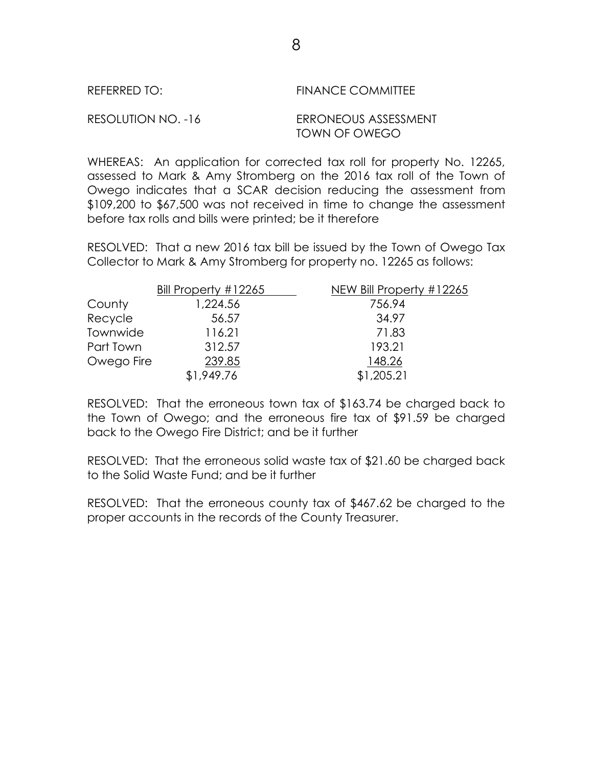| REFERRED TO:       | FINANCE COMMITTEE                     |
|--------------------|---------------------------------------|
| RESOLUTION NO. -16 | ERRONEOUS ASSESSMENT<br>TOWN OF OWEGO |

WHEREAS: An application for corrected tax roll for property No. 12265, assessed to Mark & Amy Stromberg on the 2016 tax roll of the Town of Owego indicates that a SCAR decision reducing the assessment from \$109,200 to \$67,500 was not received in time to change the assessment before tax rolls and bills were printed; be it therefore

RESOLVED: That a new 2016 tax bill be issued by the Town of Owego Tax Collector to Mark & Amy Stromberg for property no. 12265 as follows:

|            | Bill Property #12265 | NEW Bill Property #12265 |
|------------|----------------------|--------------------------|
| County     | 1,224.56             | 756.94                   |
| Recycle    | 56.57                | 34.97                    |
| Townwide   | 116.21               | 71.83                    |
| Part Town  | 312.57               | 193.21                   |
| Owego Fire | 239.85               | 148.26                   |
|            | \$1,949.76           | \$1,205.21               |

RESOLVED: That the erroneous town tax of \$163.74 be charged back to the Town of Owego; and the erroneous fire tax of \$91.59 be charged back to the Owego Fire District; and be it further

RESOLVED: That the erroneous solid waste tax of \$21.60 be charged back to the Solid Waste Fund; and be it further

RESOLVED: That the erroneous county tax of \$467.62 be charged to the proper accounts in the records of the County Treasurer.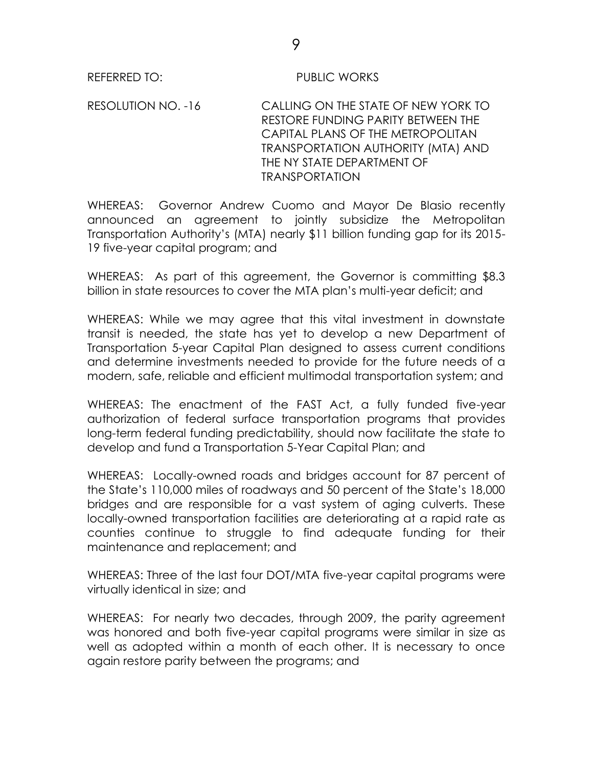#### REFERRED TO: PUBLIC WORKS

RESOLUTION NO. -16 CALLING ON THE STATE OF NEW YORK TO RESTORE FUNDING PARITY BETWEEN THE CAPITAL PLANS OF THE METROPOLITAN TRANSPORTATION AUTHORITY (MTA) AND THE NY STATE DEPARTMENT OF TRANSPORTATION

WHEREAS: Governor Andrew Cuomo and Mayor De Blasio recently announced an agreement to jointly subsidize the Metropolitan Transportation Authority's (MTA) nearly \$11 billion funding gap for its 2015- 19 five-year capital program; and

WHEREAS: As part of this agreement, the Governor is committing \$8.3 billion in state resources to cover the MTA plan's multi-year deficit; and

WHEREAS: While we may agree that this vital investment in downstate transit is needed, the state has yet to develop a new Department of Transportation 5-year Capital Plan designed to assess current conditions and determine investments needed to provide for the future needs of a modern, safe, reliable and efficient multimodal transportation system; and

WHEREAS: The enactment of the FAST Act, a fully funded five-year authorization of federal surface transportation programs that provides long-term federal funding predictability, should now facilitate the state to develop and fund a Transportation 5-Year Capital Plan; and

WHEREAS: Locally-owned roads and bridges account for 87 percent of the State's 110,000 miles of roadways and 50 percent of the State's 18,000 bridges and are responsible for a vast system of aging culverts. These locally-owned transportation facilities are deteriorating at a rapid rate as counties continue to struggle to find adequate funding for their maintenance and replacement; and

WHEREAS: Three of the last four DOT/MTA five-year capital programs were virtually identical in size; and

WHEREAS: For nearly two decades, through 2009, the parity agreement was honored and both five-year capital programs were similar in size as well as adopted within a month of each other. It is necessary to once again restore parity between the programs; and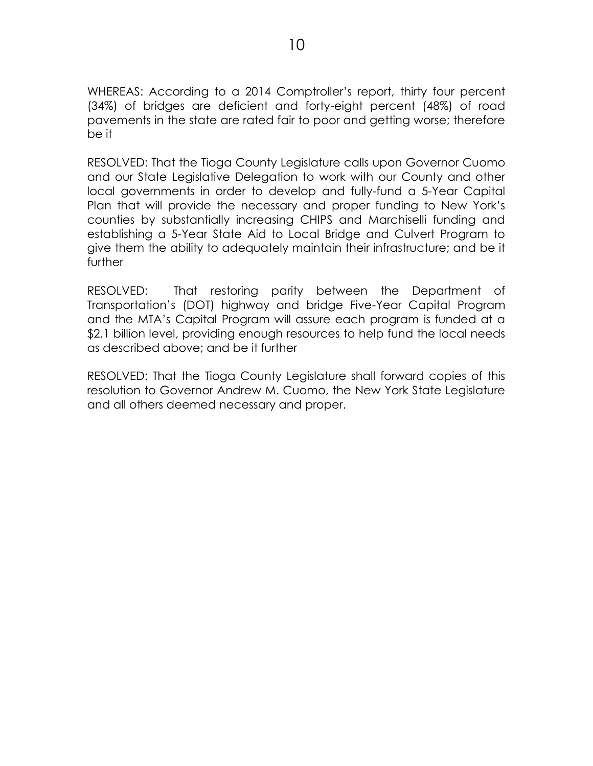WHEREAS: According to a 2014 Comptroller's report, thirty four percent (34%) of bridges are deficient and forty-eight percent (48%) of road pavements in the state are rated fair to poor and getting worse; therefore be it

RESOLVED: That the Tioga County Legislature calls upon Governor Cuomo and our State Legislative Delegation to work with our County and other local governments in order to develop and fully-fund a 5-Year Capital Plan that will provide the necessary and proper funding to New York's counties by substantially increasing CHIPS and Marchiselli funding and establishing a 5-Year State Aid to Local Bridge and Culvert Program to give them the ability to adequately maintain their infrastructure; and be it further

RESOLVED: That restoring parity between the Department of Transportation's (DOT) highway and bridge Five-Year Capital Program and the MTA's Capital Program will assure each program is funded at a \$2.1 billion level, providing enough resources to help fund the local needs as described above; and be it further

RESOLVED: That the Tioga County Legislature shall forward copies of this resolution to Governor Andrew M. Cuomo, the New York State Legislature and all others deemed necessary and proper.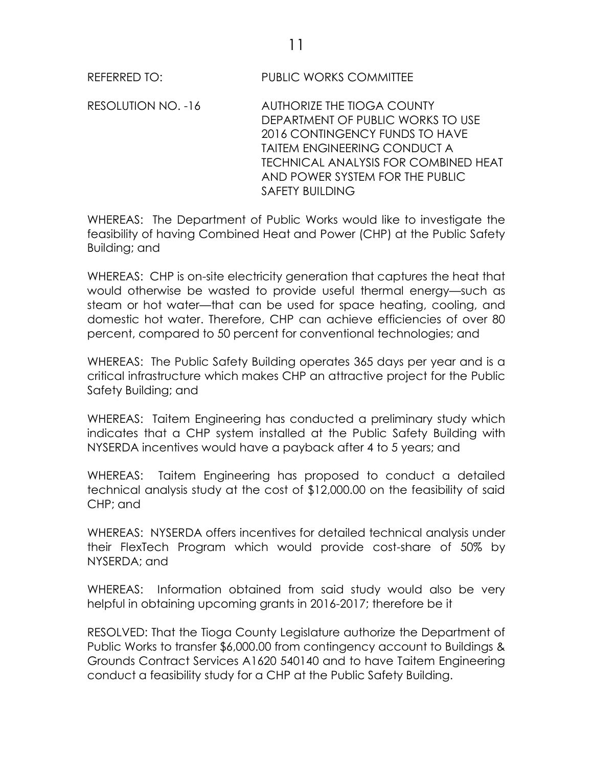REFERRED TO: PUBLIC WORKS COMMITTEE

RESOLUTION NO. -16 AUTHORIZE THE TIOGA COUNTY DEPARTMENT OF PUBLIC WORKS TO USE 2016 CONTINGENCY FUNDS TO HAVE TAITEM ENGINEERING CONDUCT A TECHNICAL ANALYSIS FOR COMBINED HEAT AND POWER SYSTEM FOR THE PUBLIC SAFETY BUILDING

WHEREAS: The Department of Public Works would like to investigate the feasibility of having Combined Heat and Power (CHP) at the Public Safety Building; and

WHEREAS: CHP is on-site electricity generation that captures the heat that would otherwise be wasted to provide useful thermal energy—such as steam or hot water—that can be used for space heating, cooling, and domestic hot water. Therefore, CHP can achieve efficiencies of over 80 percent, compared to 50 percent for conventional technologies; and

WHEREAS: The Public Safety Building operates 365 days per year and is a critical infrastructure which makes CHP an attractive project for the Public Safety Building; and

WHEREAS: Taitem Engineering has conducted a preliminary study which indicates that a CHP system installed at the Public Safety Building with NYSERDA incentives would have a payback after 4 to 5 years; and

WHEREAS: Taitem Engineering has proposed to conduct a detailed technical analysis study at the cost of \$12,000.00 on the feasibility of said CHP; and

WHEREAS: NYSERDA offers incentives for detailed technical analysis under their FlexTech Program which would provide cost-share of 50% by NYSERDA; and

WHEREAS: Information obtained from said study would also be very helpful in obtaining upcoming grants in 2016-2017; therefore be it

RESOLVED: That the Tioga County Legislature authorize the Department of Public Works to transfer \$6,000.00 from contingency account to Buildings & Grounds Contract Services A1620 540140 and to have Taitem Engineering conduct a feasibility study for a CHP at the Public Safety Building.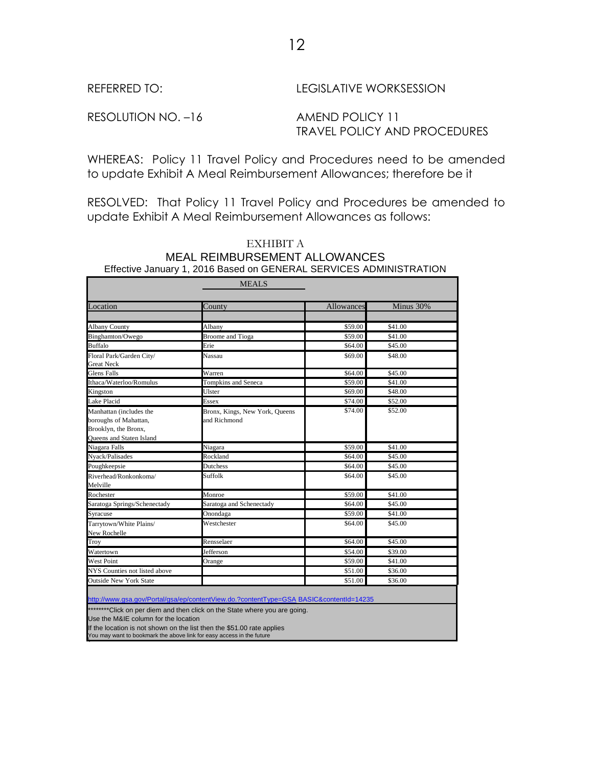#### REFERRED TO: LEGISLATIVE WORKSESSION

RESOLUTION NO. -16 AMEND POLICY 11

# TRAVEL POLICY AND PROCEDURES

WHEREAS: Policy 11 Travel Policy and Procedures need to be amended to update Exhibit A Meal Reimbursement Allowances; therefore be it

RESOLVED: That Policy 11 Travel Policy and Procedures be amended to update Exhibit A Meal Reimbursement Allowances as follows:

|                                                                                                      | <b>MEALS</b>                                   |            |           |
|------------------------------------------------------------------------------------------------------|------------------------------------------------|------------|-----------|
|                                                                                                      |                                                |            |           |
| Location                                                                                             | County                                         | Allowances | Minus 30% |
|                                                                                                      |                                                |            |           |
| <b>Albany County</b>                                                                                 | Albany                                         | \$59.00    | \$41.00   |
| Binghamton/Owego                                                                                     | <b>Broome</b> and Tioga                        | \$59.00    | \$41.00   |
| <b>Buffalo</b>                                                                                       | Erie                                           | \$64.00    | \$45.00   |
| Floral Park/Garden City/<br><b>Great Neck</b>                                                        | Nassau                                         | \$69.00    | \$48.00   |
| <b>Glens Falls</b>                                                                                   | Warren                                         | \$64.00    | \$45.00   |
| Ithaca/Waterloo/Romulus                                                                              | Tompkins and Seneca                            | \$59.00    | \$41.00   |
| Kingston                                                                                             | Ulster                                         | \$69.00    | \$48.00   |
| Lake Placid                                                                                          | <b>Essex</b>                                   | \$74.00    | \$52.00   |
| Manhattan (includes the<br>boroughs of Mahattan,<br>Brooklyn, the Bronx,<br>Queens and Staten Island | Bronx, Kings, New York, Queens<br>and Richmond | \$74.00    | \$52.00   |
| Niagara Falls                                                                                        | Niagara                                        | \$59.00    | \$41.00   |
| Nyack/Palisades                                                                                      | Rockland                                       | \$64.00    | \$45.00   |
| Poughkeepsie                                                                                         | Dutchess                                       | \$64.00    | \$45.00   |
| Riverhead/Ronkonkoma/<br>Melville                                                                    | Suffolk                                        | \$64.00    | \$45.00   |
| Rochester                                                                                            | Monroe                                         | \$59.00    | \$41.00   |
| Saratoga Springs/Schenectady                                                                         | Saratoga and Schenectady                       | \$64.00    | \$45.00   |
| Syracuse                                                                                             | Onondaga                                       | \$59.00    | \$41.00   |
| Tarrytown/White Plains/<br>New Rochelle                                                              | Westchester                                    | \$64.00    | \$45.00   |
| Troy                                                                                                 | Rensselaer                                     | \$64.00    | \$45.00   |
| Watertown                                                                                            | Jefferson                                      | \$54.00    | \$39.00   |
| <b>West Point</b>                                                                                    | Orange                                         | \$59.00    | \$41.00   |
| NYS Counties not listed above                                                                        |                                                | \$51.00    | \$36.00   |
| <b>Outside New York State</b>                                                                        |                                                | \$51.00    | \$36.00   |

# EXHIBIT A MEAL REIMBURSEMENT ALLOWANCES

<http://www.gsa.gov/Portal/gsa/ep/contentView.do.?contentType=GSA> BASIC&contentId=14235

\*\*\*\*\*\*\*Click on per diem and then click on the State where you are going.

Use the M&IE column for the location

If the location is not shown on the list then the \$51.00 rate applies

You may want to bookmark the above link for easy access in the future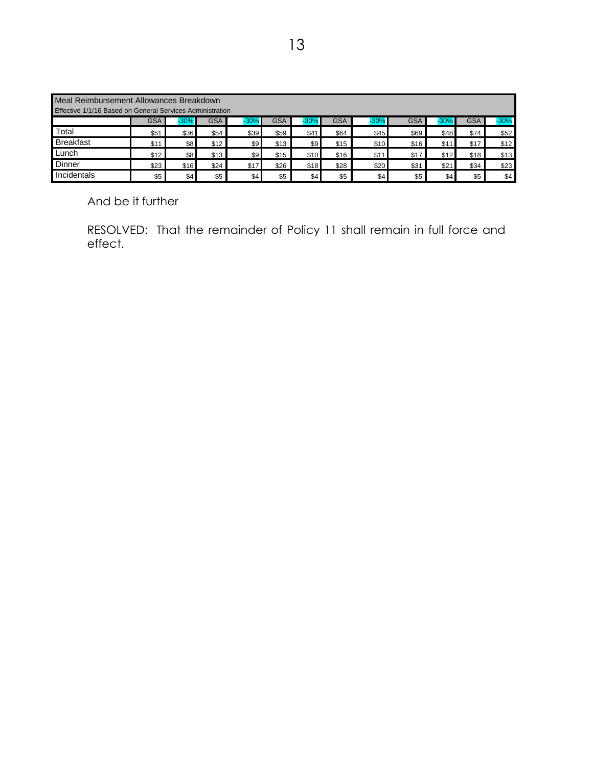| Meal Reimbursement Allowances Breakdown<br>Effective 1/1/16 Based on General Services Administration |            |         |            |        |            |         |            |        |            |        |            |        |
|------------------------------------------------------------------------------------------------------|------------|---------|------------|--------|------------|---------|------------|--------|------------|--------|------------|--------|
|                                                                                                      | <b>GSA</b> | $-30\%$ | <b>GSA</b> | $-30%$ | <b>GSA</b> | $-30\%$ | <b>GSA</b> | $-30%$ | <b>GSA</b> | $-30%$ | <b>GSA</b> | $-30%$ |
| Total                                                                                                | \$51       | \$36    | \$54       | \$39   | \$59       | \$41    | \$64       | \$45   | \$69       | \$48   | \$74       | \$52   |
| <b>Breakfast</b>                                                                                     | \$11       | \$8     | \$12       | \$9    | \$13       | \$9     | \$15       | \$10   | \$16       | \$11   | \$17       | \$12   |
| Lunch                                                                                                | \$12       | \$8     | \$13       | \$9    | \$15       | \$10    | \$16       | \$11   | \$17       | \$12   | \$18       | \$13   |
| Dinner                                                                                               | \$23       | \$16    | \$24       | \$17   | \$26       | \$18    | \$28       | \$20   | \$31       | \$21   | \$34       | \$23   |
| Incidentals                                                                                          | \$5        | \$4     | \$5        | \$4    | \$5        | \$4     | \$5        | \$4    | \$5        | \$4    | \$5        | \$4    |

And be it further

RESOLVED: That the remainder of Policy 11 shall remain in full force and effect.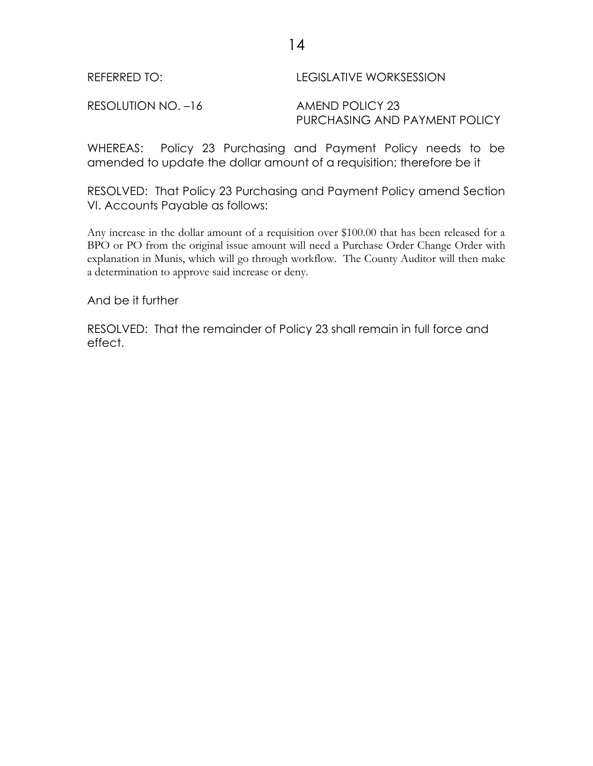14

RESOLUTION NO. -16 AMEND POLICY 23

PURCHASING AND PAYMENT POLICY

WHEREAS: Policy 23 Purchasing and Payment Policy needs to be amended to update the dollar amount of a requisition; therefore be it

RESOLVED: That Policy 23 Purchasing and Payment Policy amend Section VI. Accounts Payable as follows:

Any increase in the dollar amount of a requisition over \$100.00 that has been released for a BPO or PO from the original issue amount will need a Purchase Order Change Order with explanation in Munis, which will go through workflow. The County Auditor will then make a determination to approve said increase or deny.

And be it further

RESOLVED: That the remainder of Policy 23 shall remain in full force and effect.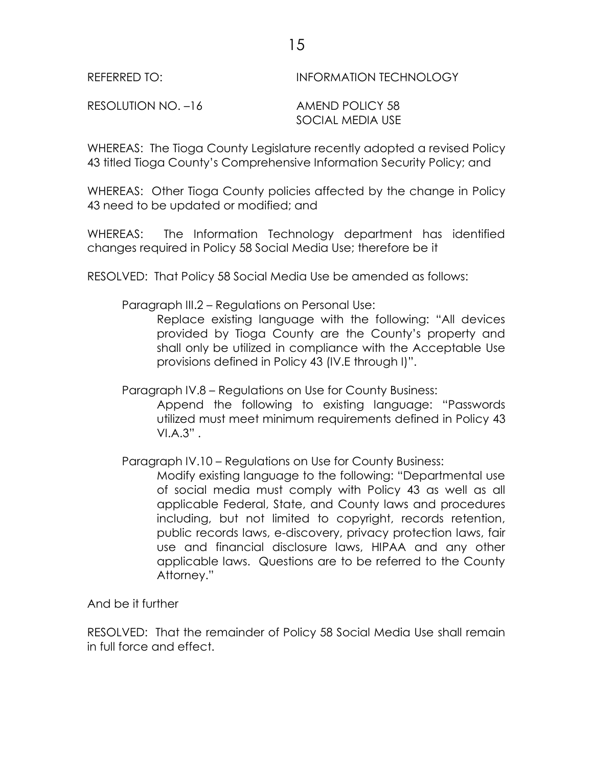REFERRED TO: INFORMATION TECHNOLOGY

RESOLUTION NO. –16 AMEND POLICY 58

SOCIAL MEDIA USE

WHEREAS: The Tioga County Legislature recently adopted a revised Policy 43 titled Tioga County's Comprehensive Information Security Policy; and

WHEREAS: Other Tioga County policies affected by the change in Policy 43 need to be updated or modified; and

WHEREAS: The Information Technology department has identified changes required in Policy 58 Social Media Use; therefore be it

RESOLVED: That Policy 58 Social Media Use be amended as follows:

Paragraph III.2 – Regulations on Personal Use:

Replace existing language with the following: "All devices provided by Tioga County are the County's property and shall only be utilized in compliance with the Acceptable Use provisions defined in Policy 43 (IV.E through I)".

Paragraph IV.8 – Regulations on Use for County Business:

Append the following to existing language: "Passwords utilized must meet minimum requirements defined in Policy 43  $VIA.3"$ .

Paragraph IV.10 – Regulations on Use for County Business:

Modify existing language to the following: "Departmental use of social media must comply with Policy 43 as well as all applicable Federal, State, and County laws and procedures including, but not limited to copyright, records retention, public records laws, e-discovery, privacy protection laws, fair use and financial disclosure laws, HIPAA and any other applicable laws. Questions are to be referred to the County Attorney."

And be it further

RESOLVED: That the remainder of Policy 58 Social Media Use shall remain in full force and effect.